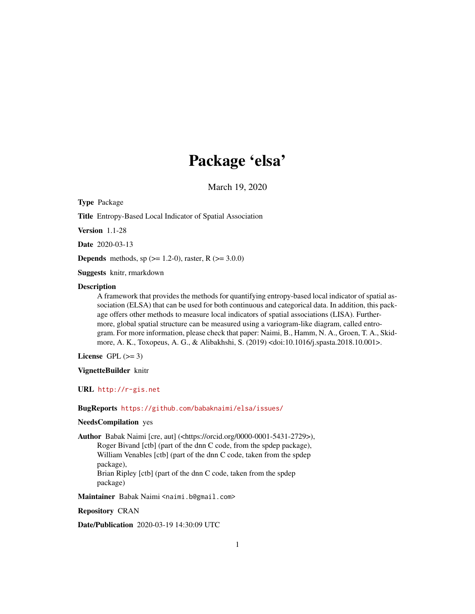# Package 'elsa'

March 19, 2020

<span id="page-0-0"></span>Type Package

Title Entropy-Based Local Indicator of Spatial Association

Version 1.1-28

Date 2020-03-13

**Depends** methods, sp  $(>= 1.2-0)$ , raster, R  $(>= 3.0.0)$ 

Suggests knitr, rmarkdown

#### **Description**

A framework that provides the methods for quantifying entropy-based local indicator of spatial association (ELSA) that can be used for both continuous and categorical data. In addition, this package offers other methods to measure local indicators of spatial associations (LISA). Furthermore, global spatial structure can be measured using a variogram-like diagram, called entrogram. For more information, please check that paper: Naimi, B., Hamm, N. A., Groen, T. A., Skidmore, A. K., Toxopeus, A. G., & Alibakhshi, S. (2019) <doi:10.1016/j.spasta.2018.10.001>.

License GPL  $(>= 3)$ 

VignetteBuilder knitr

URL <http://r-gis.net>

BugReports <https://github.com/babaknaimi/elsa/issues/>

# NeedsCompilation yes

Author Babak Naimi [cre, aut] (<https://orcid.org/0000-0001-5431-2729>), Roger Bivand [ctb] (part of the dnn C code, from the spdep package), William Venables [ctb] (part of the dnn C code, taken from the spdep package), Brian Ripley [ctb] (part of the dnn C code, taken from the spdep package)

Maintainer Babak Naimi <naimi.b@gmail.com>

Repository CRAN

Date/Publication 2020-03-19 14:30:09 UTC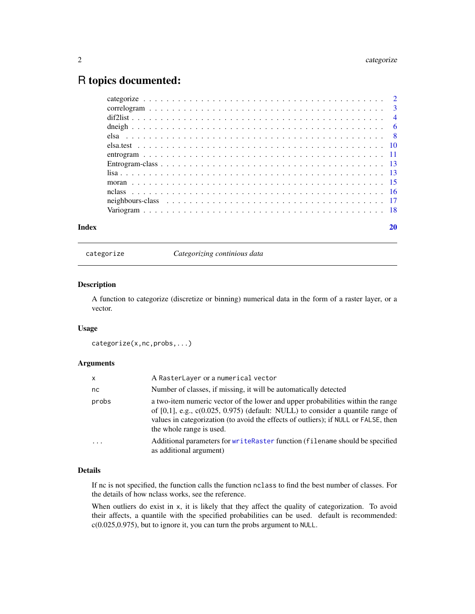# <span id="page-1-0"></span>R topics documented:

| $lisa$ |  |  |  |  |  |  |  |  |  |  |  |  |  |
|--------|--|--|--|--|--|--|--|--|--|--|--|--|--|
|        |  |  |  |  |  |  |  |  |  |  |  |  |  |
|        |  |  |  |  |  |  |  |  |  |  |  |  |  |
|        |  |  |  |  |  |  |  |  |  |  |  |  |  |
|        |  |  |  |  |  |  |  |  |  |  |  |  |  |
| Index  |  |  |  |  |  |  |  |  |  |  |  |  |  |

categorize *Categorizing continious data*

#### Description

A function to categorize (discretize or binning) numerical data in the form of a raster layer, or a vector.

# Usage

```
categorize(x,nc,probs,...)
```
# Arguments

| $\mathsf{x}$ | A RasterLayer or a numerical vector                                                                                                                                                                                                                                                        |
|--------------|--------------------------------------------------------------------------------------------------------------------------------------------------------------------------------------------------------------------------------------------------------------------------------------------|
| nc           | Number of classes, if missing, it will be automatically detected                                                                                                                                                                                                                           |
| probs        | a two-item numeric vector of the lower and upper probabilities within the range<br>of $[0,1]$ , e.g., $c(0.025, 0.975)$ (default: NULL) to consider a quantile range of<br>values in categorization (to avoid the effects of outliers); if NULL or FALSE, then<br>the whole range is used. |
|              | Additional parameters for writeRaster function (filename should be specified<br>as additional argument)                                                                                                                                                                                    |

#### Details

If nc is not specified, the function calls the function nclass to find the best number of classes. For the details of how nclass works, see the reference.

When outliers do exist in x, it is likely that they affect the quality of categorization. To avoid their affects, a quantile with the specified probabilities can be used. default is recommended: c(0.025,0.975), but to ignore it, you can turn the probs argument to NULL.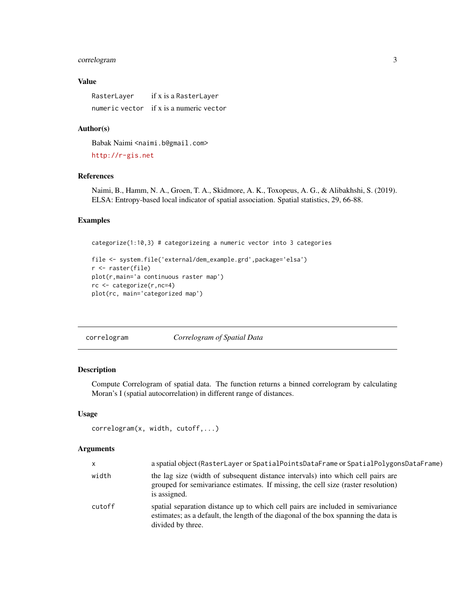# <span id="page-2-0"></span>correlogram 3

# Value

| RasterLayer | if x is a RasterLayer                   |
|-------------|-----------------------------------------|
|             | numeric vector if x is a numeric vector |

# Author(s)

Babak Naimi <naimi.b@gmail.com> <http://r-gis.net>

#### References

Naimi, B., Hamm, N. A., Groen, T. A., Skidmore, A. K., Toxopeus, A. G., & Alibakhshi, S. (2019). ELSA: Entropy-based local indicator of spatial association. Spatial statistics, 29, 66-88.

# Examples

categorize(1:10,3) # categorizeing a numeric vector into 3 categories

```
file <- system.file('external/dem_example.grd',package='elsa')
r <- raster(file)
plot(r,main='a continuous raster map')
rc <- categorize(r,nc=4)
plot(rc, main='categorized map')
```

| correlogram | Correlogram of Spatial Data |  |
|-------------|-----------------------------|--|
|             |                             |  |

# Description

Compute Correlogram of spatial data. The function returns a binned correlogram by calculating Moran's I (spatial autocorrelation) in different range of distances.

#### Usage

```
correlogram(x, width, cutoff,...)
```
#### Arguments

| X      | a spatial object (RasterLayer or SpatialPointsDataFrame or SpatialPolygonsDataFrame)                                                                                                        |
|--------|---------------------------------------------------------------------------------------------------------------------------------------------------------------------------------------------|
| width  | the lag size (width of subsequent distance intervals) into which cell pairs are<br>grouped for semivariance estimates. If missing, the cell size (raster resolution)<br>is assigned.        |
| cutoff | spatial separation distance up to which cell pairs are included in semivariance<br>estimates; as a default, the length of the diagonal of the box spanning the data is<br>divided by three. |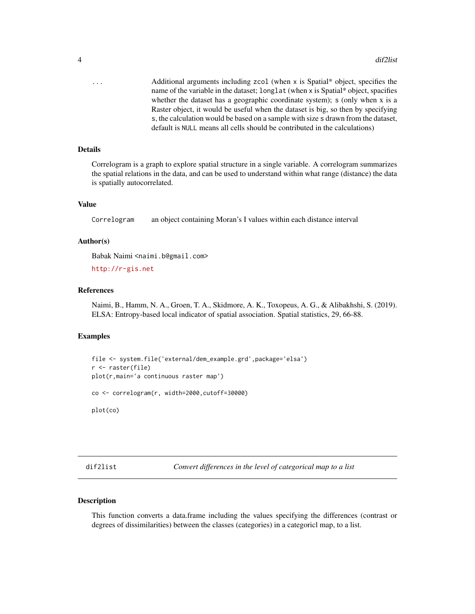<span id="page-3-0"></span>... Additional arguments including zcol (when x is Spatial\* object, specifies the name of the variable in the dataset; longlat (when x is Spatial\* object, spacifies whether the dataset has a geographic coordinate system); s (only when x is a Raster object, it would be useful when the dataset is big, so then by specifying s, the calculation would be based on a sample with size s drawn from the dataset, default is NULL means all cells should be contributed in the calculations)

#### Details

Correlogram is a graph to explore spatial structure in a single variable. A correlogram summarizes the spatial relations in the data, and can be used to understand within what range (distance) the data is spatially autocorrelated.

## Value

Correlogram an object containing Moran's I values within each distance interval

#### Author(s)

Babak Naimi <naimi.b@gmail.com>

<http://r-gis.net>

#### References

Naimi, B., Hamm, N. A., Groen, T. A., Skidmore, A. K., Toxopeus, A. G., & Alibakhshi, S. (2019). ELSA: Entropy-based local indicator of spatial association. Spatial statistics, 29, 66-88.

# Examples

```
file <- system.file('external/dem_example.grd',package='elsa')
r <- raster(file)
plot(r,main='a continuous raster map')
co <- correlogram(r, width=2000,cutoff=30000)
```
plot(co)

<span id="page-3-1"></span>dif2list *Convert differences in the level of categorical map to a list*

#### Description

This function converts a data.frame including the values specifying the differences (contrast or degrees of dissimilarities) between the classes (categories) in a categoricl map, to a list.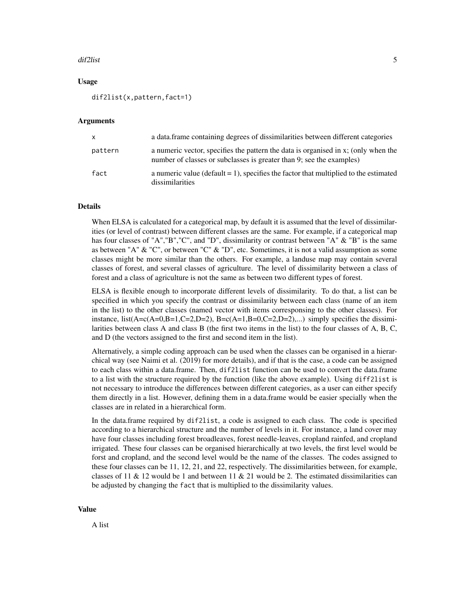#### dif2list 5

#### Usage

dif2list(x,pattern,fact=1)

#### Arguments

| X       | a data frame containing degrees of dissimilarities between different categories                                                                            |
|---------|------------------------------------------------------------------------------------------------------------------------------------------------------------|
| pattern | a numeric vector, specifies the pattern the data is organised in x; (only when the<br>number of classes or subclasses is greater than 9; see the examples) |
| fact    | a numeric value (default $= 1$ ), specifies the factor that multiplied to the estimated<br>dissimilarities                                                 |

#### Details

When ELSA is calculated for a categorical map, by default it is assumed that the level of dissimilarities (or level of contrast) between different classes are the same. For example, if a categorical map has four classes of "A","B","C", and "D", dissimilarity or contrast between "A" & "B" is the same as between "A"  $\&$  "C", or between "C"  $\&$  "D", etc. Sometimes, it is not a valid assumption as some classes might be more similar than the others. For example, a landuse map may contain several classes of forest, and several classes of agriculture. The level of dissimilarity between a class of forest and a class of agriculture is not the same as between two different types of forest.

ELSA is flexible enough to incorporate different levels of dissimilarity. To do that, a list can be specified in which you specify the contrast or dissimilarity between each class (name of an item in the list) to the other classes (named vector with items corresponsing to the other classes). For instance, list( $A = c(A=0,B=1,C=2,D=2)$ ,  $B = c(A=1,B=0,C=2,D=2)$ ,...) simply specifies the dissimilarities between class A and class B (the first two items in the list) to the four classes of A, B, C, and D (the vectors assigned to the first and second item in the list).

Alternatively, a simple coding approach can be used when the classes can be organised in a hierarchical way (see Naimi et al. (2019) for more details), and if that is the case, a code can be assigned to each class within a data.frame. Then, dif2list function can be used to convert the data.frame to a list with the structure required by the function (like the above example). Using diff2list is not necessary to introduce the differences between different categories, as a user can either specify them directly in a list. However, defining them in a data.frame would be easier specially when the classes are in related in a hierarchical form.

In the data.frame required by dif2list, a code is assigned to each class. The code is specified according to a hierarchical structure and the number of levels in it. For instance, a land cover may have four classes including forest broadleaves, forest needle-leaves, cropland rainfed, and cropland irrigated. These four classes can be organised hierarchically at two levels, the first level would be forst and cropland, and the second level would be the name of the classes. The codes assigned to these four classes can be 11, 12, 21, and 22, respectively. The dissimilarities between, for example, classes of 11 & 12 would be 1 and between 11 & 21 would be 2. The estimated dissimilarities can be adjusted by changing the fact that is multiplied to the dissimilarity values.

#### Value

A list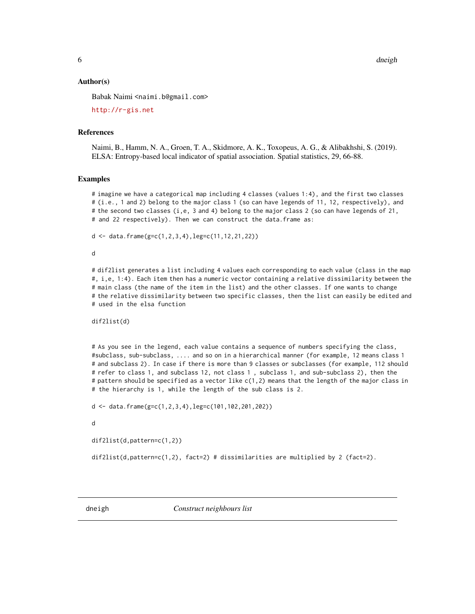#### <span id="page-5-0"></span>Author(s)

Babak Naimi <naimi.b@gmail.com>

<http://r-gis.net>

#### References

Naimi, B., Hamm, N. A., Groen, T. A., Skidmore, A. K., Toxopeus, A. G., & Alibakhshi, S. (2019). ELSA: Entropy-based local indicator of spatial association. Spatial statistics, 29, 66-88.

#### Examples

# imagine we have a categorical map including 4 classes (values 1:4), and the first two classes # (i.e., 1 and 2) belong to the major class 1 (so can have legends of 11, 12, respectively), and # the second two classes (i,e, 3 and 4) belong to the major class 2 (so can have legends of 21, # and 22 respectively). Then we can construct the data.frame as:

 $d \leq -$  data.frame( $g=c(1,2,3,4)$ , leg=c(11, 12, 21, 22))

d

# dif2list generates a list including 4 values each corresponding to each value (class in the map #, i,e, 1:4). Each item then has a numeric vector containing a relative dissimilarity between the # main class (the name of the item in the list) and the other classes. If one wants to change # the relative dissimilarity between two specific classes, then the list can easily be edited and # used in the elsa function

dif2list(d)

# As you see in the legend, each value contains a sequence of numbers specifying the class, #subclass, sub-subclass, .... and so on in a hierarchical manner (for example, 12 means class 1 # and subclass 2). In case if there is more than 9 classes or subclasses (for example, 112 should # refer to class 1, and subclass 12, not class 1 , subclass 1, and sub-subclass 2), then the # pattern should be specified as a vector like c(1,2) means that the length of the major class in # the hierarchy is 1, while the length of the sub class is 2.

d <- data.frame(g=c(1,2,3,4),leg=c(101,102,201,202))

d

```
dif2list(d,pattern=c(1,2))
```
dif2list(d,pattern=c(1,2), fact=2) # dissimilarities are multiplied by 2 (fact=2).

dneigh *Construct neighbours list*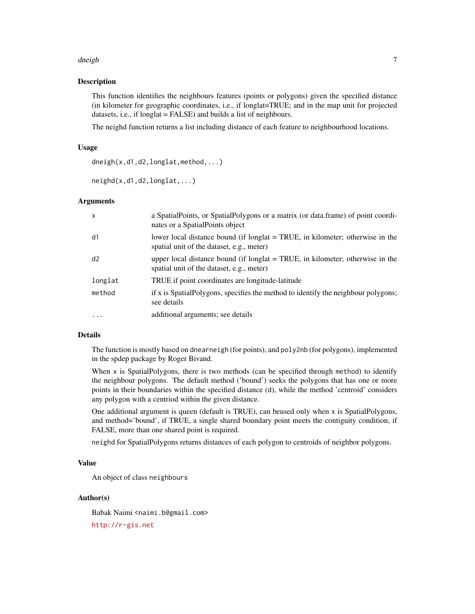#### dneigh **7** and 2008 and 2008 and 2008 and 2008 and 2008 and 2008 and 2008 and 2008 and 2008 and 2008 and 2008 and 2008 and 2008 and 2008 and 2008 and 2008 and 2008 and 2008 and 2008 and 2008 and 2008 and 2008 and 2008 and

#### Description

This function identifies the neighbours features (points or polygons) given the specified distance (in kilometer for geographic coordinates, i.e., if longlat=TRUE; and in the map unit for projected datasets, i.e., if longlat = FALSE) and builds a list of neighbours.

The neighd function returns a list including distance of each feature to neighbourhood locations.

#### Usage

dneigh(x,d1,d2,longlat,method,...)

neighd(x,d1,d2,longlat,...)

#### Arguments

| X         | a Spatial Points, or Spatial Polygons or a matrix (or data frame) of point coordi-<br>nates or a SpatialPoints object        |
|-----------|------------------------------------------------------------------------------------------------------------------------------|
| d1        | lower local distance bound (if longlat = TRUE, in kilometer; otherwise in the<br>spatial unit of the dataset, e.g., meter)   |
| d2        | upper local distance bound (if longlat $=$ TRUE, in kilometer; otherwise in the<br>spatial unit of the dataset, e.g., meter) |
| longlat   | TRUE if point coordinates are longitude-latitude                                                                             |
| method    | if x is SpatialPolygons, specifies the method to identify the neighbour polygons;<br>see details                             |
| $\ddotsc$ | additional arguments; see details                                                                                            |

#### Details

The function is mostly based on dnearneigh (for points), and poly2nb (for polygons), implemented in the spdep package by Roger Bivand.

When  $x$  is SpatialPolygons, there is two methods (can be specified through method) to identify the neighbour polygons. The default method ('bound') seeks the polygons that has one or more points in their boundaries within the specified distance (d), while the method 'centroid' considers any polygon with a centriod within the given distance.

One additional argument is queen (default is TRUE), can beused only when x is SpatialPolygons, and method='bound', if TRUE, a single shared boundary point meets the contiguity condition, if FALSE, more than one shared point is required.

neighd for SpatialPolygons returns distances of each polygon to centroids of neighbor polygons.

#### Value

An object of class neighbours

# Author(s)

Babak Naimi <naimi.b@gmail.com>

<http://r-gis.net>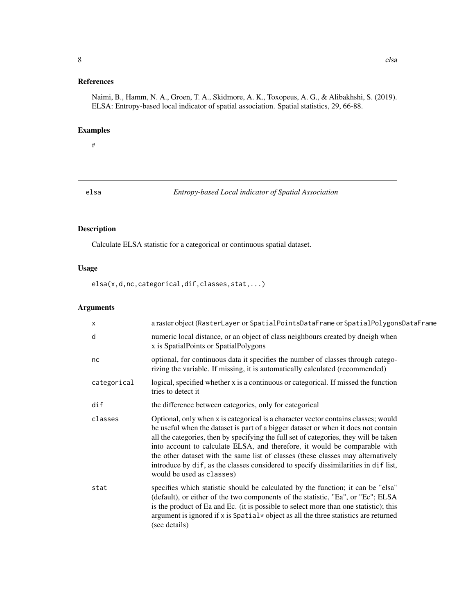# <span id="page-7-0"></span>References

Naimi, B., Hamm, N. A., Groen, T. A., Skidmore, A. K., Toxopeus, A. G., & Alibakhshi, S. (2019). ELSA: Entropy-based local indicator of spatial association. Spatial statistics, 29, 66-88.

# Examples

# #

elsa *Entropy-based Local indicator of Spatial Association*

# Description

Calculate ELSA statistic for a categorical or continuous spatial dataset.

# Usage

elsa(x,d,nc,categorical,dif,classes,stat,...)

# Arguments

| X              | a raster object (RasterLayer or SpatialPointsDataFrame or SpatialPolygonsDataFrame                                                                                                                                                                                                                                                                                                                                                                                                                                                                      |
|----------------|---------------------------------------------------------------------------------------------------------------------------------------------------------------------------------------------------------------------------------------------------------------------------------------------------------------------------------------------------------------------------------------------------------------------------------------------------------------------------------------------------------------------------------------------------------|
| d              | numeric local distance, or an object of class neighbours created by dneigh when<br>x is SpatialPoints or SpatialPolygons                                                                                                                                                                                                                                                                                                                                                                                                                                |
| nc             | optional, for continuous data it specifies the number of classes through catego-<br>rizing the variable. If missing, it is automatically calculated (recommended)                                                                                                                                                                                                                                                                                                                                                                                       |
| categorical    | logical, specified whether x is a continuous or categorical. If missed the function<br>tries to detect it                                                                                                                                                                                                                                                                                                                                                                                                                                               |
| $\mathsf{dif}$ | the difference between categories, only for categorical                                                                                                                                                                                                                                                                                                                                                                                                                                                                                                 |
| classes        | Optional, only when x is categorical is a character vector contains classes; would<br>be useful when the dataset is part of a bigger dataset or when it does not contain<br>all the categories, then by specifying the full set of categories, they will be taken<br>into account to calculate ELSA, and therefore, it would be comparable with<br>the other dataset with the same list of classes (these classes may alternatively<br>introduce by dif, as the classes considered to specify dissimilarities in dif list,<br>would be used as classes) |
| stat           | specifies which statistic should be calculated by the function; it can be "elsa"<br>(default), or either of the two components of the statistic, "Ea", or "Ec"; ELSA<br>is the product of Ea and Ec. (it is possible to select more than one statistic); this<br>argument is ignored if x is Spatial* object as all the three statistics are returned<br>(see details)                                                                                                                                                                                  |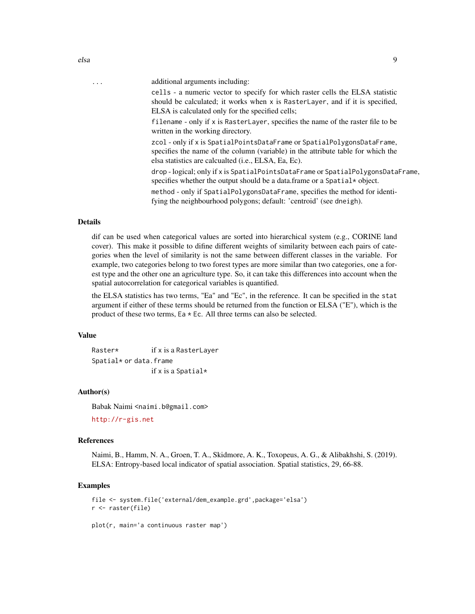| . | additional arguments including:                                                                                                                                                                                     |
|---|---------------------------------------------------------------------------------------------------------------------------------------------------------------------------------------------------------------------|
|   | cells - a numeric vector to specify for which raster cells the ELSA statistic<br>should be calculated; it works when x is RasterLayer, and if it is specified,<br>ELSA is calculated only for the specified cells;  |
|   | filename - only if x is RasterLayer, specifies the name of the raster file to be<br>written in the working directory.                                                                                               |
|   | zcol - only if x is SpatialPointsDataFrame or SpatialPolygonsDataFrame,<br>specifies the name of the column (variable) in the attribute table for which the<br>elsa statistics are calcualted (i.e., ELSA, Ea, Ec). |
|   | drop-logical; only if x is SpatialPointsDataFrame or SpatialPolygonsDataFrame,<br>specifies whether the output should be a data.frame or a Spatial * object.                                                        |
|   | method - only if SpatialPolygonsDataFrame, specifies the method for identi-<br>fying the neighbourhood polygons; default: 'centroid' (see dneigh).                                                                  |
|   |                                                                                                                                                                                                                     |

# Details

dif can be used when categorical values are sorted into hierarchical system (e.g., CORINE land cover). This make it possible to difine different weights of similarity between each pairs of categories when the level of similarity is not the same between different classes in the variable. For example, two categories belong to two forest types are more similar than two categories, one a forest type and the other one an agriculture type. So, it can take this differences into account when the spatial autocorrelation for categorical variables is quantified.

the ELSA statistics has two terms, "Ea" and "Ec", in the reference. It can be specified in the stat argument if either of these terms should be returned from the function or ELSA ("E"), which is the product of these two terms, Ea  $*$  Ec. All three terms can also be selected.

#### Value

Raster\* if x is a RasterLayer Spatial\* or data.frame if x is a Spatial\*

# Author(s)

Babak Naimi <naimi.b@gmail.com>

<http://r-gis.net>

#### References

Naimi, B., Hamm, N. A., Groen, T. A., Skidmore, A. K., Toxopeus, A. G., & Alibakhshi, S. (2019). ELSA: Entropy-based local indicator of spatial association. Spatial statistics, 29, 66-88.

# Examples

```
file <- system.file('external/dem_example.grd',package='elsa')
r <- raster(file)
plot(r, main='a continuous raster map')
```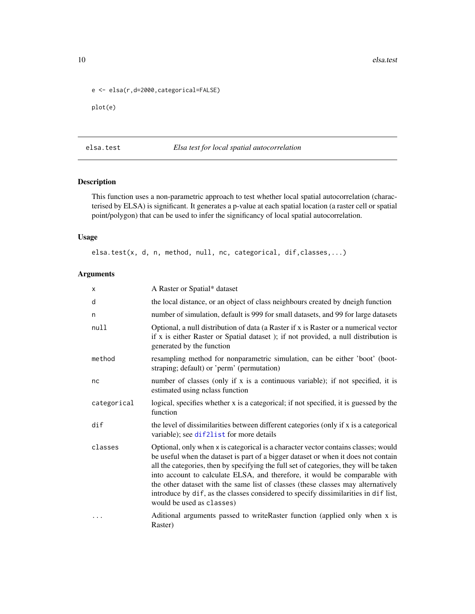```
e <- elsa(r,d=2000,categorical=FALSE)
plot(e)
```
# elsa.test *Elsa test for local spatial autocorrelation*

#### Description

This function uses a non-parametric approach to test whether local spatial autocorrelation (characterised by ELSA) is significant. It generates a p-value at each spatial location (a raster cell or spatial point/polygon) that can be used to infer the significancy of local spatial autocorrelation.

# Usage

elsa.test(x, d, n, method, null, nc, categorical, dif,classes,...)

#### Arguments

| x           | A Raster or Spatial* dataset                                                                                                                                                                                                                                                                                                                                                                                                                                                                                                                            |
|-------------|---------------------------------------------------------------------------------------------------------------------------------------------------------------------------------------------------------------------------------------------------------------------------------------------------------------------------------------------------------------------------------------------------------------------------------------------------------------------------------------------------------------------------------------------------------|
| d           | the local distance, or an object of class neighbours created by dneigh function                                                                                                                                                                                                                                                                                                                                                                                                                                                                         |
| n           | number of simulation, default is 999 for small datasets, and 99 for large datasets                                                                                                                                                                                                                                                                                                                                                                                                                                                                      |
| null        | Optional, a null distribution of data (a Raster if x is Raster or a numerical vector<br>if x is either Raster or Spatial dataset); if not provided, a null distribution is<br>generated by the function                                                                                                                                                                                                                                                                                                                                                 |
| method      | resampling method for nonparametric simulation, can be either 'boot' (boot-<br>straping; default) or 'perm' (permutation)                                                                                                                                                                                                                                                                                                                                                                                                                               |
| nc          | number of classes (only if x is a continuous variable); if not specified, it is<br>estimated using nclass function                                                                                                                                                                                                                                                                                                                                                                                                                                      |
| categorical | logical, specifies whether x is a categorical; if not specified, it is guessed by the<br>function                                                                                                                                                                                                                                                                                                                                                                                                                                                       |
| dif         | the level of dissimilarities between different categories (only if x is a categorical<br>variable); see dif2list for more details                                                                                                                                                                                                                                                                                                                                                                                                                       |
| classes     | Optional, only when x is categorical is a character vector contains classes; would<br>be useful when the dataset is part of a bigger dataset or when it does not contain<br>all the categories, then by specifying the full set of categories, they will be taken<br>into account to calculate ELSA, and therefore, it would be comparable with<br>the other dataset with the same list of classes (these classes may alternatively<br>introduce by dif, as the classes considered to specify dissimilarities in dif list,<br>would be used as classes) |
| .           | Aditional arguments passed to writeRaster function (applied only when x is<br>Raster)                                                                                                                                                                                                                                                                                                                                                                                                                                                                   |

<span id="page-9-0"></span>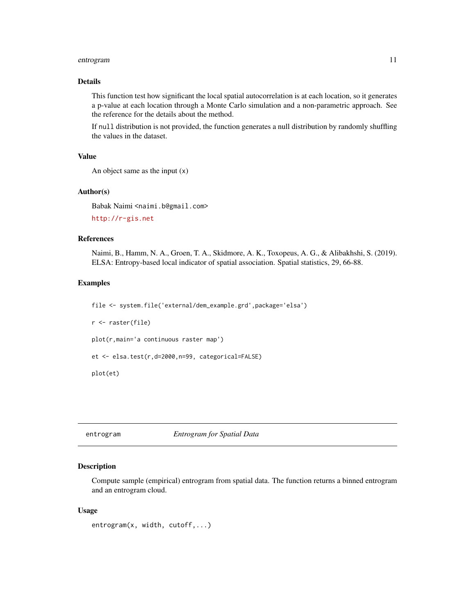#### <span id="page-10-0"></span>entrogram 11

#### Details

This function test how significant the local spatial autocorrelation is at each location, so it generates a p-value at each location through a Monte Carlo simulation and a non-parametric approach. See the reference for the details about the method.

If null distribution is not provided, the function generates a null distribution by randomly shuffling the values in the dataset.

#### Value

```
An object same as the input (x)
```
#### Author(s)

Babak Naimi <naimi.b@gmail.com>

<http://r-gis.net>

# References

Naimi, B., Hamm, N. A., Groen, T. A., Skidmore, A. K., Toxopeus, A. G., & Alibakhshi, S. (2019). ELSA: Entropy-based local indicator of spatial association. Spatial statistics, 29, 66-88.

#### Examples

```
file <- system.file('external/dem_example.grd',package='elsa')
r <- raster(file)
plot(r,main='a continuous raster map')
et <- elsa.test(r,d=2000,n=99, categorical=FALSE)
plot(et)
```

```
entrogram Entrogram for Spatial Data
```
#### **Description**

Compute sample (empirical) entrogram from spatial data. The function returns a binned entrogram and an entrogram cloud.

#### Usage

```
entrogram(x, width, cutoff,...)
```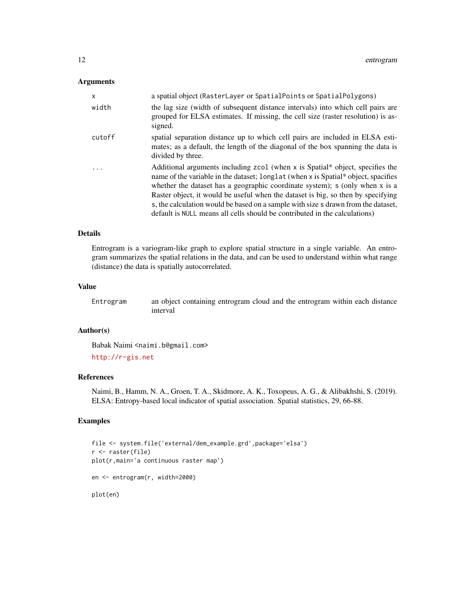# Arguments

| x        | a spatial object (RasterLayer or SpatialPoints or SpatialPolygons)                                                                                                                                                                                                                                                                                                                                                                                                                                         |
|----------|------------------------------------------------------------------------------------------------------------------------------------------------------------------------------------------------------------------------------------------------------------------------------------------------------------------------------------------------------------------------------------------------------------------------------------------------------------------------------------------------------------|
| width    | the lag size (width of subsequent distance intervals) into which cell pairs are<br>grouped for ELSA estimates. If missing, the cell size (raster resolution) is as-<br>signed.                                                                                                                                                                                                                                                                                                                             |
| cutoff   | spatial separation distance up to which cell pairs are included in ELSA esti-<br>mates; as a default, the length of the diagonal of the box spanning the data is<br>divided by three.                                                                                                                                                                                                                                                                                                                      |
| $\cdots$ | Additional arguments including zcol (when x is Spatial* object, specifies the<br>name of the variable in the dataset; longlat (when x is Spatial* object, spacifies<br>whether the dataset has a geographic coordinate system); s (only when x is a<br>Raster object, it would be useful when the dataset is big, so then by specifying<br>s, the calculation would be based on a sample with size s drawn from the dataset,<br>default is NULL means all cells should be contributed in the calculations) |

#### Details

Entrogram is a variogram-like graph to explore spatial structure in a single variable. An entrogram summarizes the spatial relations in the data, and can be used to understand within what range (distance) the data is spatially autocorrelated.

#### Value

Entrogram an object containing entrogram cloud and the entrogram within each distance interval

# Author(s)

Babak Naimi <naimi.b@gmail.com> <http://r-gis.net>

# References

Naimi, B., Hamm, N. A., Groen, T. A., Skidmore, A. K., Toxopeus, A. G., & Alibakhshi, S. (2019). ELSA: Entropy-based local indicator of spatial association. Spatial statistics, 29, 66-88.

#### Examples

```
file <- system.file('external/dem_example.grd',package='elsa')
r <- raster(file)
plot(r,main='a continuous raster map')
en <- entrogram(r, width=2000)
plot(en)
```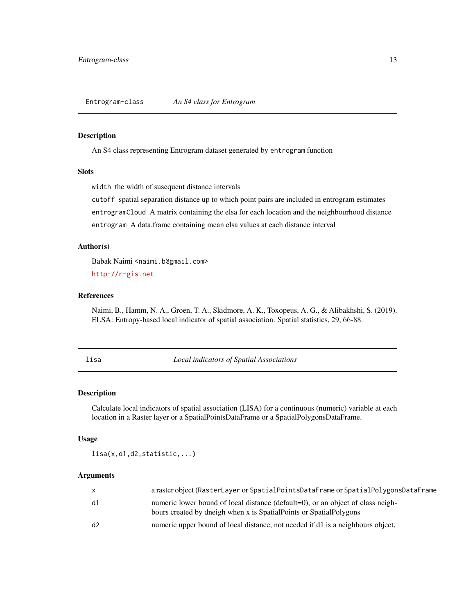<span id="page-12-0"></span>Entrogram-class *An S4 class for Entrogram*

#### Description

An S4 class representing Entrogram dataset generated by entrogram function

#### Slots

width the width of susequent distance intervals

cutoff spatial separation distance up to which point pairs are included in entrogram estimates entrogramCloud A matrix containing the elsa for each location and the neighbourhood distance entrogram A data.frame containing mean elsa values at each distance interval

#### Author(s)

Babak Naimi <naimi.b@gmail.com>

<http://r-gis.net>

## References

Naimi, B., Hamm, N. A., Groen, T. A., Skidmore, A. K., Toxopeus, A. G., & Alibakhshi, S. (2019). ELSA: Entropy-based local indicator of spatial association. Spatial statistics, 29, 66-88.

lisa *Local indicators of Spatial Associations*

#### Description

Calculate local indicators of spatial association (LISA) for a continuous (numeric) variable at each location in a Raster layer or a SpatialPointsDataFrame or a SpatialPolygonsDataFrame.

# Usage

lisa(x,d1,d2,statistic,...)

#### Arguments

|    | a raster object (RasterLayer or SpatialPointsDataFrame or SpatialPolygonsDataFrame                                                                    |
|----|-------------------------------------------------------------------------------------------------------------------------------------------------------|
| d1 | numeric lower bound of local distance (default=0), or an object of class neigh-<br>bours created by dneigh when x is SpatialPoints or SpatialPolygons |
| d2 | numeric upper bound of local distance, not needed if d1 is a neighbours object,                                                                       |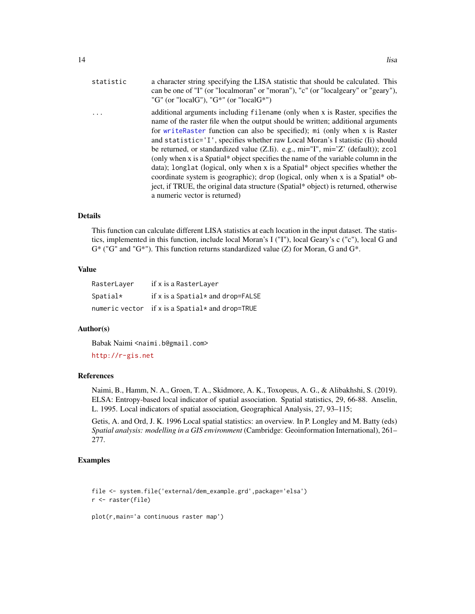<span id="page-13-0"></span>

|    | $\cdot$ |
|----|---------|
| 14 | lisa    |

| statistic | a character string specifying the LISA statistic that should be calculated. This<br>can be one of "I" (or "localmoran" or "moran"), "c" (or "localgeary" or "geary"),<br>"G" (or "localG"), "G*" (or "localG*")                                                                                                                                                                                                                                                                                                                                                                                                                                                                                                                                                                                          |
|-----------|----------------------------------------------------------------------------------------------------------------------------------------------------------------------------------------------------------------------------------------------------------------------------------------------------------------------------------------------------------------------------------------------------------------------------------------------------------------------------------------------------------------------------------------------------------------------------------------------------------------------------------------------------------------------------------------------------------------------------------------------------------------------------------------------------------|
|           | additional arguments including filename (only when x is Raster, specifies the<br>name of the raster file when the output should be written; additional arguments<br>for write Raster function can also be specified); mi (only when x is Raster<br>and statistic='I', specifies whether raw Local Moran's I statistic (Ii) should<br>be returned, or standardized value (Z.Ii). e.g., mi="I", mi='Z' (default)); zcol<br>(only when x is a Spatial* object specifies the name of the variable column in the<br>data); longlat (logical, only when x is a Spatial* object specifies whether the<br>coordinate system is geographic); drop (logical, only when x is a Spatial* ob-<br>ject, if TRUE, the original data structure (Spatial* object) is returned, otherwise<br>a numeric vector is returned) |
|           |                                                                                                                                                                                                                                                                                                                                                                                                                                                                                                                                                                                                                                                                                                                                                                                                          |

#### Details

This function can calculate different LISA statistics at each location in the input dataset. The statistics, implemented in this function, include local Moran's I ("I"), local Geary's c ("c"), local G and  $G^*$  ("G" and "G\*"). This function returns standardized value (Z) for Moran, G and  $G^*$ .

# Value

| RasterLayer | if x is a RasterLayer                           |
|-------------|-------------------------------------------------|
| $S$ patial* | if x is a Spatial $*$ and drop=FALSE            |
|             | numeric vector if x is a Spatial* and drop=TRUE |

#### Author(s)

Babak Naimi <naimi.b@gmail.com> <http://r-gis.net>

### References

Naimi, B., Hamm, N. A., Groen, T. A., Skidmore, A. K., Toxopeus, A. G., & Alibakhshi, S. (2019). ELSA: Entropy-based local indicator of spatial association. Spatial statistics, 29, 66-88. Anselin, L. 1995. Local indicators of spatial association, Geographical Analysis, 27, 93–115;

Getis, A. and Ord, J. K. 1996 Local spatial statistics: an overview. In P. Longley and M. Batty (eds) *Spatial analysis: modelling in a GIS environment* (Cambridge: Geoinformation International), 261– 277.

# Examples

```
file <- system.file('external/dem_example.grd',package='elsa')
r <- raster(file)
```
plot(r,main='a continuous raster map')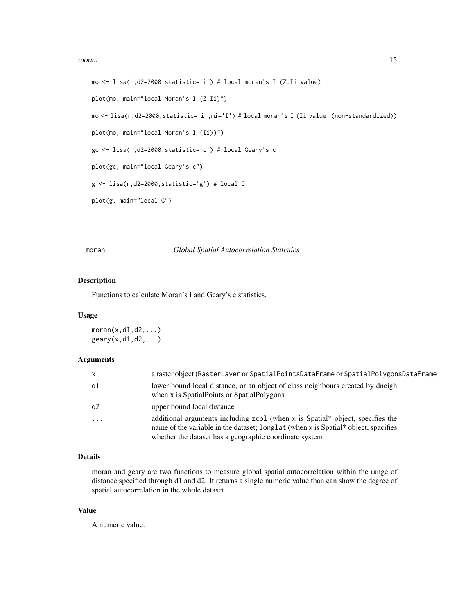#### <span id="page-14-0"></span>moran and the contract of the contract of the contract of the contract of the contract of the contract of the contract of the contract of the contract of the contract of the contract of the contract of the contract of the

```
mo <- lisa(r,d2=2000,statistic='i') # local moran's I (Z.Ii value)
plot(mo, main="local Moran's I (Z.Ii)")
mo <- lisa(r,d2=2000,statistic='i',mi='I') # local moran's I (Ii value (non-standardized))
plot(mo, main="local Moran's I (Ii))")
gc <- lisa(r,d2=2000,statistic='c') # local Geary's c
plot(gc, main="local Geary's c")
g <- lisa(r,d2=2000,statistic='g') # local G
plot(g, main="local G")
```
moran *Global Spatial Autocorrelation Statistics*

# Description

Functions to calculate Moran's I and Geary's c statistics.

#### Usage

 $moran(x,d1,d2,...)$  $geary(x,d1,d2,...)$ 

# Arguments

| $\mathsf{x}$ | a raster object (RasterLayer or SpatialPointsDataFrame or SpatialPolygonsDataFrame                                                                                                                                              |
|--------------|---------------------------------------------------------------------------------------------------------------------------------------------------------------------------------------------------------------------------------|
| d1           | lower bound local distance, or an object of class neighbours created by dneigh<br>when x is SpatialPoints or SpatialPolygons                                                                                                    |
| d2           | upper bound local distance                                                                                                                                                                                                      |
| $\cdots$     | additional arguments including $zcol$ (when x is Spatial* object, specifies the<br>name of the variable in the dataset; longlat (when x is Spatial* object, spacifies<br>whether the dataset has a geographic coordinate system |

#### Details

moran and geary are two functions to measure global spatial autocorrelation within the range of distance specified through d1 and d2. It returns a single numeric value than can show the degree of spatial autocorrelation in the whole dataset.

# Value

A numeric value.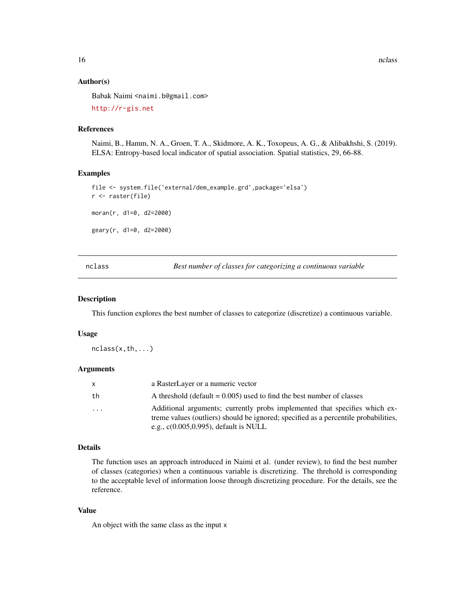<span id="page-15-0"></span>16 nclass nclass and the contract of the contract of the contract of the contract of the contract of the contract of the contract of the contract of the contract of the contract of the contract of the contract of the contr

#### Author(s)

Babak Naimi <naimi.b@gmail.com>

<http://r-gis.net>

#### References

Naimi, B., Hamm, N. A., Groen, T. A., Skidmore, A. K., Toxopeus, A. G., & Alibakhshi, S. (2019). ELSA: Entropy-based local indicator of spatial association. Spatial statistics, 29, 66-88.

#### Examples

```
file <- system.file('external/dem_example.grd',package='elsa')
r <- raster(file)
moran(r, d1=0, d2=2000)
geary(r, d1=0, d2=2000)
```
nclass *Best number of classes for categorizing a continuous variable*

#### Description

This function explores the best number of classes to categorize (discretize) a continuous variable.

#### Usage

nclass(x,th,...)

#### Arguments

| x. | a RasterLayer or a numeric vector                                                                                                                                                                              |
|----|----------------------------------------------------------------------------------------------------------------------------------------------------------------------------------------------------------------|
| th | A threshold (default $= 0.005$ ) used to find the best number of classes                                                                                                                                       |
| .  | Additional arguments; currently probs implemented that specifies which ex-<br>treme values (outliers) should be ignored; specified as a percentile probabilities,<br>e.g., $c(0.005, 0.995)$ , default is NULL |

# Details

The function uses an approach introduced in Naimi et al. (under review), to find the best number of classes (categories) when a continuous variable is discretizing. The threhold is corresponding to the acceptable level of information loose through discretizing procedure. For the details, see the reference.

#### Value

An object with the same class as the input x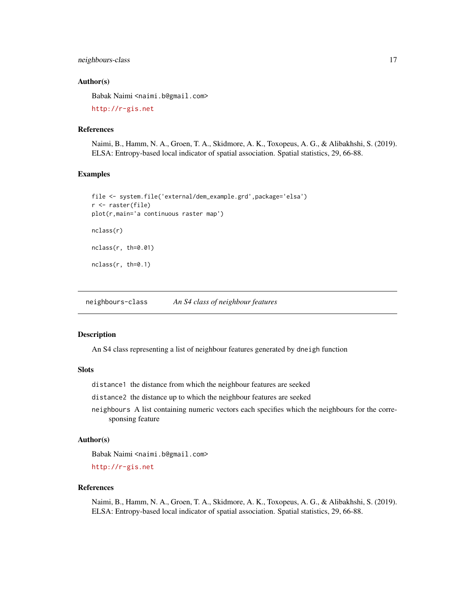## <span id="page-16-0"></span>neighbours-class 17

#### Author(s)

Babak Naimi <naimi.b@gmail.com>

<http://r-gis.net>

# References

Naimi, B., Hamm, N. A., Groen, T. A., Skidmore, A. K., Toxopeus, A. G., & Alibakhshi, S. (2019). ELSA: Entropy-based local indicator of spatial association. Spatial statistics, 29, 66-88.

# Examples

```
file <- system.file('external/dem_example.grd',package='elsa')
r <- raster(file)
plot(r,main='a continuous raster map')
nclass(r)
nclass(r, th=0.01)
nclass(r, th=0.1)
```
neighbours-class *An S4 class of neighbour features*

#### Description

An S4 class representing a list of neighbour features generated by dneigh function

#### Slots

distance1 the distance from which the neighbour features are seeked

distance2 the distance up to which the neighbour features are seeked

neighbours A list containing numeric vectors each specifies which the neighbours for the corresponsing feature

#### Author(s)

Babak Naimi <naimi.b@gmail.com>

<http://r-gis.net>

#### References

Naimi, B., Hamm, N. A., Groen, T. A., Skidmore, A. K., Toxopeus, A. G., & Alibakhshi, S. (2019). ELSA: Entropy-based local indicator of spatial association. Spatial statistics, 29, 66-88.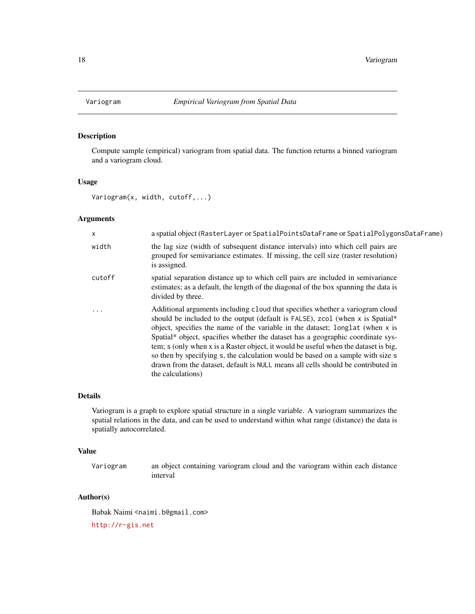<span id="page-17-0"></span>

# Description

Compute sample (empirical) variogram from spatial data. The function returns a binned variogram and a variogram cloud.

#### Usage

Variogram(x, width, cutoff,...)

## Arguments

| X         | a spatial object (RasterLayer or SpatialPointsDataFrame or SpatialPolygonsDataFrame)                                                                                                                                                                                                                                                                                                                                                                                                                                                                                                                                  |
|-----------|-----------------------------------------------------------------------------------------------------------------------------------------------------------------------------------------------------------------------------------------------------------------------------------------------------------------------------------------------------------------------------------------------------------------------------------------------------------------------------------------------------------------------------------------------------------------------------------------------------------------------|
| width     | the lag size (width of subsequent distance intervals) into which cell pairs are<br>grouped for semivariance estimates. If missing, the cell size (raster resolution)<br>is assigned.                                                                                                                                                                                                                                                                                                                                                                                                                                  |
| cutoff    | spatial separation distance up to which cell pairs are included in semivariance<br>estimates; as a default, the length of the diagonal of the box spanning the data is<br>divided by three.                                                                                                                                                                                                                                                                                                                                                                                                                           |
| $\ddotsc$ | Additional arguments including cloud that specifies whether a variogram cloud<br>should be included to the output (default is FALSE), zcol (when x is Spatial*<br>object, specifies the name of the variable in the dataset; longlat (when x is<br>Spatial* object, spacifies whether the dataset has a geographic coordinate sys-<br>tem; s (only when x is a Raster object, it would be useful when the dataset is big,<br>so then by specifying s, the calculation would be based on a sample with size s<br>drawn from the dataset, default is NULL means all cells should be contributed in<br>the calculations) |

# Details

Variogram is a graph to explore spatial structure in a single variable. A variogram summarizes the spatial relations in the data, and can be used to understand within what range (distance) the data is spatially autocorrelated.

#### Value

Variogram an object containing variogram cloud and the variogram within each distance interval

#### Author(s)

Babak Naimi <naimi.b@gmail.com>

<http://r-gis.net>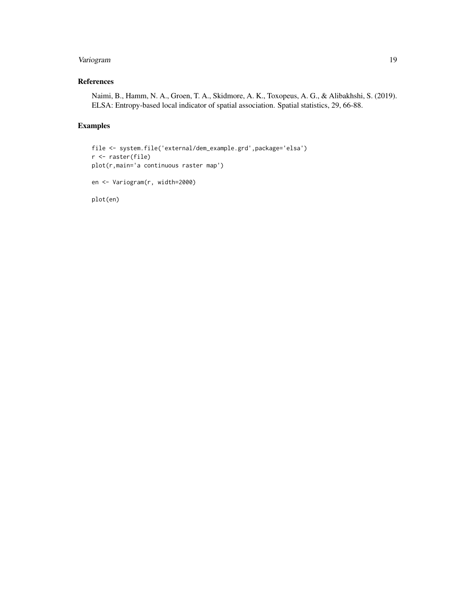# Variogram 19

# References

Naimi, B., Hamm, N. A., Groen, T. A., Skidmore, A. K., Toxopeus, A. G., & Alibakhshi, S. (2019). ELSA: Entropy-based local indicator of spatial association. Spatial statistics, 29, 66-88.

# Examples

```
file <- system.file('external/dem_example.grd',package='elsa')
r <- raster(file)
plot(r,main='a continuous raster map')
en <- Variogram(r, width=2000)
plot(en)
```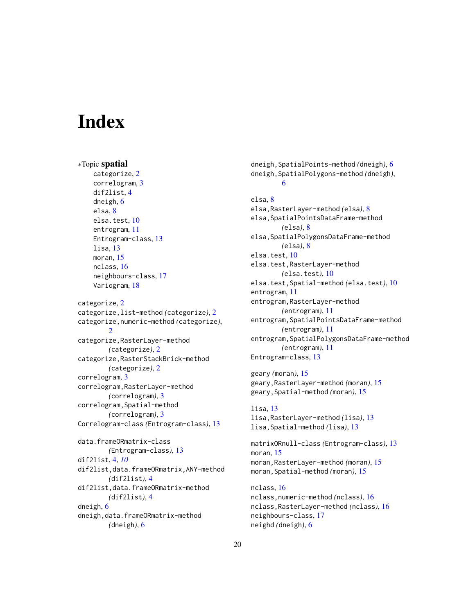# <span id="page-19-0"></span>**Index**

```
∗Topic spatial
    categorize, 2
    correlogram, 3
    dif2list, 4
    dneigh, 6
    elsa, 8
    elsa.test, 10
    entrogram, 11
    Entrogram-class, 13
    lisa, 13
    moran, 15
    nclass, 16
    neighbours-class, 17
    Variogram, 18
categorize, 2
categorize,list-method (categorize), 2
categorize,numeric-method (categorize),
        2
categorize,RasterLayer-method
        (categorize), 2
categorize,RasterStackBrick-method
        (categorize), 2
correlogram, 3
correlogram,RasterLayer-method
        (correlogram), 3
correlogram,Spatial-method
        (correlogram), 3
Correlogram-class (Entrogram-class), 13
data.frameORmatrix-class
        (Entrogram-class), 13
dif2list, 4, 10
dif2list,data.frameORmatrix,ANY-method
        (dif2list), 4
dif2list,data.frameORmatrix-method
        (dif2list), 4
dneigh, 6
dneigh,data.frameORmatrix-method
        (dneigh), 6
```
dneigh,SpatialPoints-method *(*dneigh*)*, [6](#page-5-0) dneigh,SpatialPolygons-method *(*dneigh*)*, [6](#page-5-0) elsa, [8](#page-7-0) elsa,RasterLayer-method *(*elsa*)*, [8](#page-7-0) elsa,SpatialPointsDataFrame-method *(*elsa*)*, [8](#page-7-0) elsa, SpatialPolygonsDataFrame-method *(*elsa*)*, [8](#page-7-0) elsa.test, [10](#page-9-0) elsa.test,RasterLayer-method *(*elsa.test*)*, [10](#page-9-0) elsa.test,Spatial-method *(*elsa.test*)*, [10](#page-9-0) entrogram, [11](#page-10-0) entrogram,RasterLayer-method *(*entrogram*)*, [11](#page-10-0) entrogram, SpatialPointsDataFrame-method *(*entrogram*)*, [11](#page-10-0) entrogram,SpatialPolygonsDataFrame-method *(*entrogram*)*, [11](#page-10-0) Entrogram-class, [13](#page-12-0)

geary *(*moran*)*, [15](#page-14-0) geary,RasterLayer-method *(*moran*)*, [15](#page-14-0) geary,Spatial-method *(*moran*)*, [15](#page-14-0)

```
lisa, 13
lisa,RasterLayer-method (lisa), 13
lisa,Spatial-method (lisa), 13
```
matrixORnull-class *(*Entrogram-class*)*, [13](#page-12-0) moran, [15](#page-14-0) moran,RasterLayer-method *(*moran*)*, [15](#page-14-0) moran,Spatial-method *(*moran*)*, [15](#page-14-0)

```
nclass, 16
nclass,numeric-method (nclass), 16
nclass,RasterLayer-method (nclass), 16
neighbours-class, 17
neighd (dneigh), 6
```